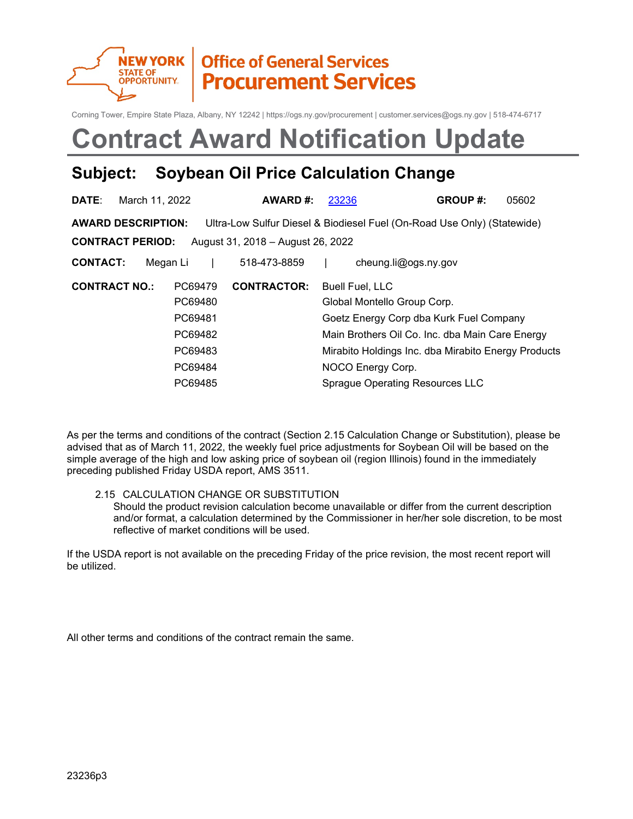

## **Office of General Services Procurement Services**

Corning Tower, Empire State Plaza, Albany, NY 12242 | https://ogs.ny.gov/procurement | customer.services@ogs.ny.gov | 518-474-6717

# **Contract Award Notification Update**

### **Subject: Soybean Oil Price Calculation Change**

| <b>DATE:</b>         | March 11, 2022            |          | AWARD#:                           | 23236                       | <b>GROUP#:</b>                                                          | 05602 |
|----------------------|---------------------------|----------|-----------------------------------|-----------------------------|-------------------------------------------------------------------------|-------|
|                      | <b>AWARD DESCRIPTION:</b> |          |                                   |                             | Ultra-Low Sulfur Diesel & Biodiesel Fuel (On-Road Use Only) (Statewide) |       |
|                      | <b>CONTRACT PERIOD:</b>   |          | August 31, 2018 - August 26, 2022 |                             |                                                                         |       |
| <b>CONTACT:</b>      |                           | Megan Li | 518-473-8859                      |                             | cheung.li@ogs.ny.gov                                                    |       |
| <b>CONTRACT NO.:</b> |                           | PC69479  | <b>CONTRACTOR:</b>                | <b>Buell Fuel, LLC</b>      |                                                                         |       |
| PC69480              |                           |          |                                   | Global Montello Group Corp. |                                                                         |       |
|                      |                           | PC69481  |                                   |                             | Goetz Energy Corp dba Kurk Fuel Company                                 |       |
|                      |                           | PC69482  |                                   |                             | Main Brothers Oil Co. Inc. dba Main Care Energy                         |       |
|                      |                           | PC69483  |                                   |                             | Mirabito Holdings Inc. dba Mirabito Energy Products                     |       |
|                      |                           | PC69484  |                                   | NOCO Energy Corp.           |                                                                         |       |
|                      |                           | PC69485  |                                   |                             | Sprague Operating Resources LLC                                         |       |

As per the terms and conditions of the contract (Section 2.15 Calculation Change or Substitution), please be advised that as of March 11, 2022, the weekly fuel price adjustments for Soybean Oil will be based on the simple average of the high and low asking price of soybean oil (region Illinois) found in the immediately preceding published Friday USDA report, AMS 3511.

#### 2.15 CALCULATION CHANGE OR SUBSTITUTION

Should the product revision calculation become unavailable or differ from the current description and/or format, a calculation determined by the Commissioner in her/her sole discretion, to be most reflective of market conditions will be used.

If the USDA report is not available on the preceding Friday of the price revision, the most recent report will be utilized.

All other terms and conditions of the contract remain the same.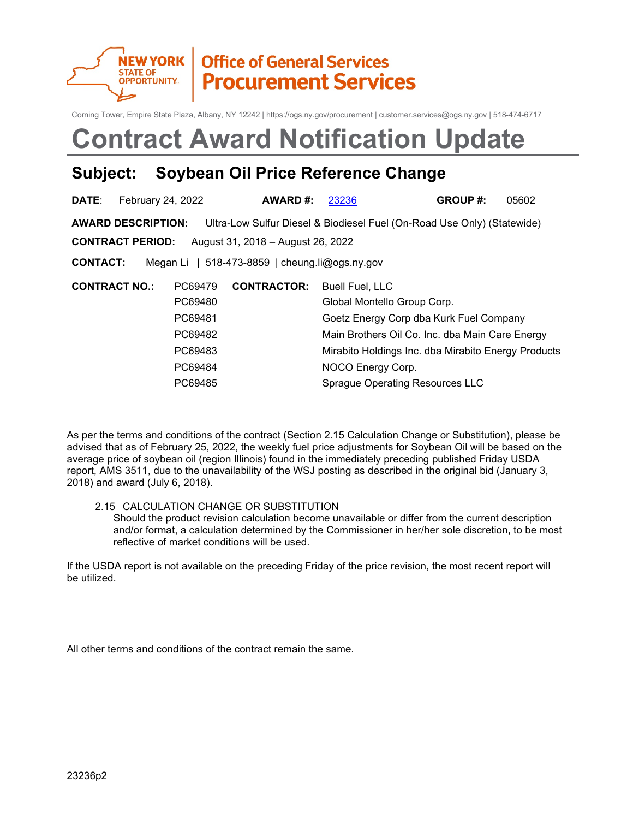

## **Office of General Services Procurement Services**

Corning Tower, Empire State Plaza, Albany, NY 12242 | https://ogs.ny.gov/procurement | customer.services@ogs.ny.gov | 518-474-6717

# **Contract Award Notification Update**

### **Subject: Soybean Oil Price Reference Change**

| <b>DATE:</b>    | February 24, 2022         |         | AWARD#:                                            | 23236                  | <b>GROUP#:</b>                                                          | 05602 |
|-----------------|---------------------------|---------|----------------------------------------------------|------------------------|-------------------------------------------------------------------------|-------|
|                 | <b>AWARD DESCRIPTION:</b> |         |                                                    |                        | Ultra-Low Sulfur Diesel & Biodiesel Fuel (On-Road Use Only) (Statewide) |       |
|                 | <b>CONTRACT PERIOD:</b>   |         | August 31, 2018 - August 26, 2022                  |                        |                                                                         |       |
| <b>CONTACT:</b> |                           |         | Megan Li   518-473-8859   cheung.li $@$ ogs.ny.gov |                        |                                                                         |       |
|                 | <b>CONTRACT NO.:</b>      | PC69479 | <b>CONTRACTOR:</b>                                 | <b>Buell Fuel, LLC</b> |                                                                         |       |
|                 |                           | PC69480 |                                                    |                        | Global Montello Group Corp.                                             |       |
|                 |                           | PC69481 |                                                    |                        | Goetz Energy Corp dba Kurk Fuel Company                                 |       |
|                 |                           | PC69482 |                                                    |                        | Main Brothers Oil Co. Inc. dba Main Care Energy                         |       |
|                 |                           | PC69483 |                                                    |                        | Mirabito Holdings Inc. dba Mirabito Energy Products                     |       |
|                 |                           | PC69484 |                                                    | NOCO Energy Corp.      |                                                                         |       |
|                 |                           | PC69485 |                                                    |                        | Sprague Operating Resources LLC                                         |       |

As per the terms and conditions of the contract (Section 2.15 Calculation Change or Substitution), please be advised that as of February 25, 2022, the weekly fuel price adjustments for Soybean Oil will be based on the average price of soybean oil (region Illinois) found in the immediately preceding published Friday USDA report, AMS 3511, due to the unavailability of the WSJ posting as described in the original bid (January 3, 2018) and award (July 6, 2018).

#### 2.15 CALCULATION CHANGE OR SUBSTITUTION

Should the product revision calculation become unavailable or differ from the current description and/or format, a calculation determined by the Commissioner in her/her sole discretion, to be most reflective of market conditions will be used.

If the USDA report is not available on the preceding Friday of the price revision, the most recent report will be utilized.

All other terms and conditions of the contract remain the same.